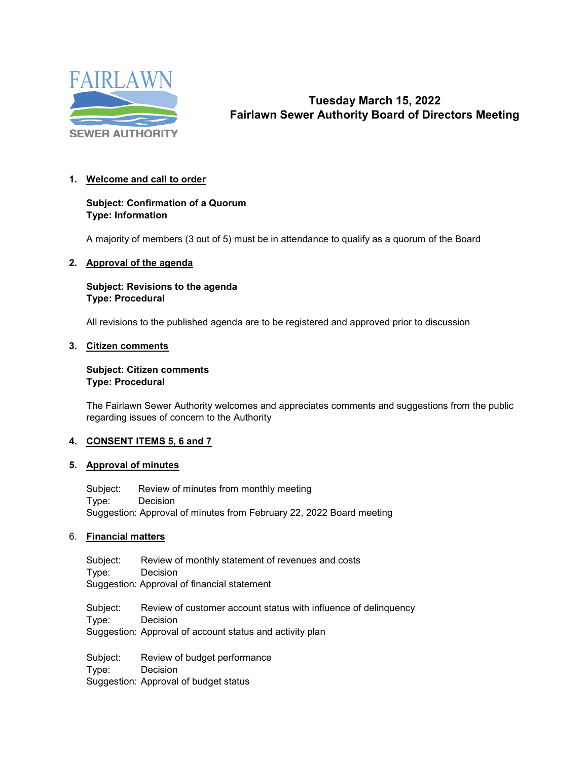

# **Tuesday March 15, 2022 Fairlawn Sewer Authority Board of Directors Meeting**

# **1. Welcome and call to order**

# **Subject: Confirmation of a Quorum Type: Information**

A majority of members (3 out of 5) must be in attendance to qualify as a quorum of the Board

#### **2. Approval of the agenda**

#### **Subject: Revisions to the agenda Type: Procedural**

All revisions to the published agenda are to be registered and approved prior to discussion

#### **3. Citizen comments**

#### **Subject: Citizen comments Type: Procedural**

The Fairlawn Sewer Authority welcomes and appreciates comments and suggestions from the public regarding issues of concern to the Authority

# **4. CONSENT ITEMS 5, 6 and 7**

# **5. Approval of minutes**

Subject: Review of minutes from monthly meeting Type: Decision Suggestion: Approval of minutes from February 22, 2022 Board meeting

# 6. **Financial matters**

Subject: Review of monthly statement of revenues and costs<br>Type: Decision **Decision** Suggestion: Approval of financial statement

Subject: Review of customer account status with influence of delinquency Type: Decision Suggestion: Approval of account status and activity plan

Subject: Review of budget performance Type: Decision Suggestion: Approval of budget status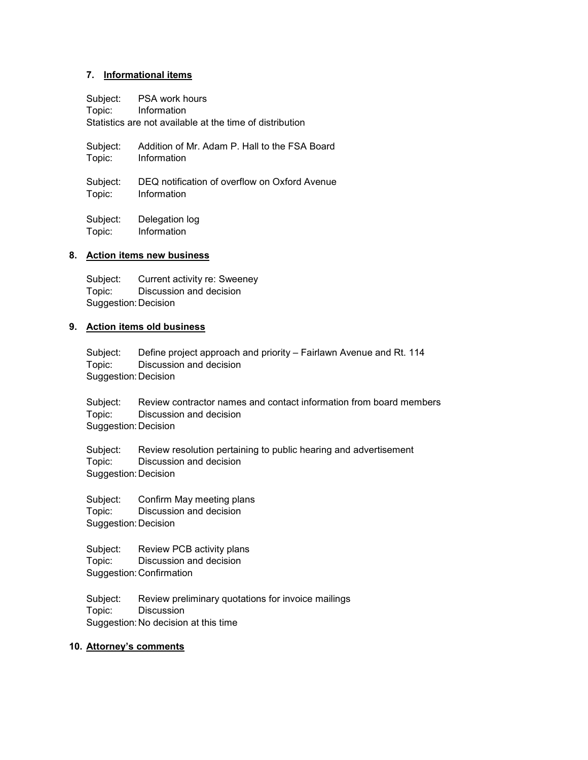#### **7. Informational items**

Subject: PSA work hours Topic: Information Statistics are not available at the time of distribution

Subject: Addition of Mr. Adam P. Hall to the FSA Board Topic: Information

Subject: DEQ notification of overflow on Oxford Avenue Topic: Information

Subject: Delegation log Topic: Information

#### **8. Action items new business**

Subject: Current activity re: Sweeney Topic: Discussion and decision Suggestion:Decision

#### **9. Action items old business**

Subject: Define project approach and priority – Fairlawn Avenue and Rt. 114 Topic: Discussion and decision Suggestion:Decision

Subject: Review contractor names and contact information from board members Topic: Discussion and decision Suggestion:Decision

Subject: Review resolution pertaining to public hearing and advertisement Topic: Discussion and decision Suggestion:Decision

Subject: Confirm May meeting plans Topic: Discussion and decision Suggestion:Decision

Subject: Review PCB activity plans Topic: Discussion and decision Suggestion:Confirmation

Subject: Review preliminary quotations for invoice mailings Topic: Discussion Suggestion:No decision at this time

#### **10. Attorney's comments**